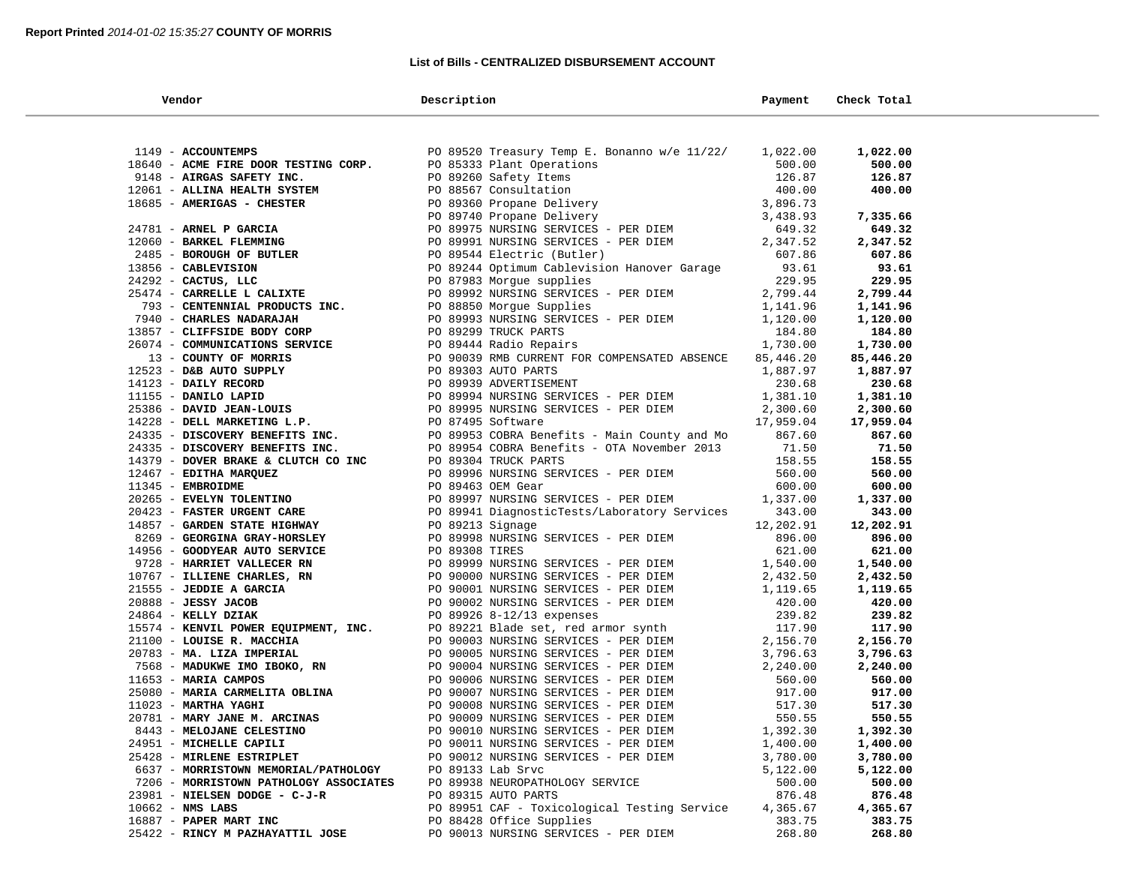### **List of Bills - CENTRALIZED DISBURSEMENT ACCOUNT**

 $\sim$ 

| Vendor                                 | Description                                                                                                                                                                                                                                                                                                     | Payment          | Check Total      |
|----------------------------------------|-----------------------------------------------------------------------------------------------------------------------------------------------------------------------------------------------------------------------------------------------------------------------------------------------------------------|------------------|------------------|
|                                        |                                                                                                                                                                                                                                                                                                                 |                  |                  |
| 1149 - ACCOUNTEMPS                     | PO 89520 Treasury Temp E. Bonanno w/e 11/22/ 1,022.00                                                                                                                                                                                                                                                           |                  | 1,022.00         |
| 18640 - ACME FIRE DOOR TESTING CORP.   | PO 85333 Plant Operations<br>PO 85333 Plant Operations<br>PO 85333 Plant Operations<br>PO 89260 Safety Items<br>26.87<br>PO 89360 Propane Delivery<br>PO 89975 NURSING SERVICES - PER DIEM<br>PO 89975 NURSING SERVICES - PER DIEM<br>649.32<br>                                                                |                  | 500.00           |
| 9148 - AIRGAS SAFETY INC.              |                                                                                                                                                                                                                                                                                                                 |                  | 126.87           |
| 12061 - ALLINA HEALTH SYSTEM           |                                                                                                                                                                                                                                                                                                                 |                  | 400.00           |
|                                        |                                                                                                                                                                                                                                                                                                                 |                  |                  |
|                                        |                                                                                                                                                                                                                                                                                                                 |                  | 7,335.66         |
|                                        |                                                                                                                                                                                                                                                                                                                 |                  | 649.32           |
|                                        |                                                                                                                                                                                                                                                                                                                 | 2,347.52         | 2,347.52         |
|                                        |                                                                                                                                                                                                                                                                                                                 | 607.86           | 607.86           |
|                                        | PO 89544 Electric (Duciti)<br>PO 89244 Optimum Cablevision Hanover Garage                                                                                                                                                                                                                                       | 93.61            | 93.61            |
|                                        |                                                                                                                                                                                                                                                                                                                 | 229.95           | 229.95           |
|                                        | PO 07903 HOLSAC DEFETION<br>PO 89992 NURSING SERVICES - PER DIEM 2,799.44<br>DO 88850 Morque Supplies 1,141.96                                                                                                                                                                                                  |                  | 2,799.44         |
|                                        |                                                                                                                                                                                                                                                                                                                 |                  | 1,141.96         |
|                                        |                                                                                                                                                                                                                                                                                                                 | 1,120.00         | 1,120.00         |
|                                        |                                                                                                                                                                                                                                                                                                                 | 184.80           | 184.80           |
|                                        |                                                                                                                                                                                                                                                                                                                 | 1,730.00         | 1,730.00         |
|                                        |                                                                                                                                                                                                                                                                                                                 | 85,446.20        | 85,446.20        |
|                                        |                                                                                                                                                                                                                                                                                                                 | 1,887.97         | 1,887.97         |
|                                        |                                                                                                                                                                                                                                                                                                                 | 230.68           | 230.68           |
|                                        |                                                                                                                                                                                                                                                                                                                 | 1,381.10         | 1,381.10         |
|                                        |                                                                                                                                                                                                                                                                                                                 | 2,300.60         | 2,300.60         |
|                                        |                                                                                                                                                                                                                                                                                                                 | 17,959.04        | 17,959.04        |
|                                        |                                                                                                                                                                                                                                                                                                                 | 867.60           | 867.60           |
|                                        |                                                                                                                                                                                                                                                                                                                 | 71.50            | 71.50            |
|                                        |                                                                                                                                                                                                                                                                                                                 | 158.55<br>560.00 | 158.55           |
|                                        |                                                                                                                                                                                                                                                                                                                 | 600.00           | 560.00<br>600.00 |
|                                        |                                                                                                                                                                                                                                                                                                                 | 1,337.00         | 1,337.00         |
|                                        |                                                                                                                                                                                                                                                                                                                 | 343.00           | 343.00           |
|                                        |                                                                                                                                                                                                                                                                                                                 | 12,202.91        | 12,202.91        |
|                                        |                                                                                                                                                                                                                                                                                                                 | 896.00           | 896.00           |
|                                        |                                                                                                                                                                                                                                                                                                                 | 621.00           | 621.00           |
|                                        |                                                                                                                                                                                                                                                                                                                 | 1,540.00         | 1,540.00         |
|                                        |                                                                                                                                                                                                                                                                                                                 | 2,432.50         | 2,432.50         |
|                                        |                                                                                                                                                                                                                                                                                                                 | 1,119.65         | 1,119.65         |
|                                        |                                                                                                                                                                                                                                                                                                                 | 420.00           | 420.00           |
|                                        |                                                                                                                                                                                                                                                                                                                 |                  | 239.82           |
|                                        | 19310 - ANDRE MARRIAN DE CONSIDERATION (1931) CONSIDERATION (1931) - ANDRE MARRIAN SERVICES - PER DENSIDER PRODUCTION CONSIDER AND CONSIDER THE CONSIDERATION (1932) - ANDRE PRODUCTION (1932) - ANDRE PRODUCTION (1932) - AN<br>PO 89926 8-12/13 expenses 239.82<br>PO 89221 Blade set, red armor synth 117.90 |                  | 117.90           |
|                                        |                                                                                                                                                                                                                                                                                                                 | 2,156.70         | 2,156.70         |
|                                        |                                                                                                                                                                                                                                                                                                                 | 3,796.63         | 3,796.63         |
|                                        |                                                                                                                                                                                                                                                                                                                 | 2,240.00         | 2,240.00         |
|                                        |                                                                                                                                                                                                                                                                                                                 | 560.00           | 560.00           |
|                                        |                                                                                                                                                                                                                                                                                                                 | 917.00           | 917.00           |
|                                        |                                                                                                                                                                                                                                                                                                                 | 517.30           | 517.30           |
| 20781 - MARY JANE M. ARCINAS           | PO 90009 NURSING SERVICES - PER DIEM                                                                                                                                                                                                                                                                            | 550.55           | 550.55           |
| 8443 - MELOJANE CELESTINO              | PO 90010 NURSING SERVICES - PER DIEM                                                                                                                                                                                                                                                                            | 1,392.30         | 1,392.30         |
| 24951 - MICHELLE CAPILI                | PO 90011 NURSING SERVICES - PER DIEM                                                                                                                                                                                                                                                                            | 1,400.00         | 1,400.00         |
| 25428 - MIRLENE ESTRIPLET              | PO 90012 NURSING SERVICES - PER DIEM                                                                                                                                                                                                                                                                            | 3,780.00         | 3,780.00         |
| 6637 - MORRISTOWN MEMORIAL/PATHOLOGY   | PO 89133 Lab Srvc                                                                                                                                                                                                                                                                                               | 5,122.00         | 5,122.00         |
| 7206 - MORRISTOWN PATHOLOGY ASSOCIATES | PO 89938 NEUROPATHOLOGY SERVICE                                                                                                                                                                                                                                                                                 | 500.00           | 500.00           |
| 23981 - NIELSEN DODGE - C-J-R          | PO 89315 AUTO PARTS                                                                                                                                                                                                                                                                                             | 876.48           | 876.48           |
| $10662$ - NMS LABS                     | PO 89951 CAF - Toxicological Testing Service                                                                                                                                                                                                                                                                    | 4,365.67         | 4,365.67         |
| 16887 - PAPER MART INC                 | PO 88428 Office Supplies                                                                                                                                                                                                                                                                                        | 383.75           | 383.75           |
| 25422 - RINCY M PAZHAYATTIL JOSE       | PO 90013 NURSING SERVICES - PER DIEM                                                                                                                                                                                                                                                                            | 268.80           | 268.80           |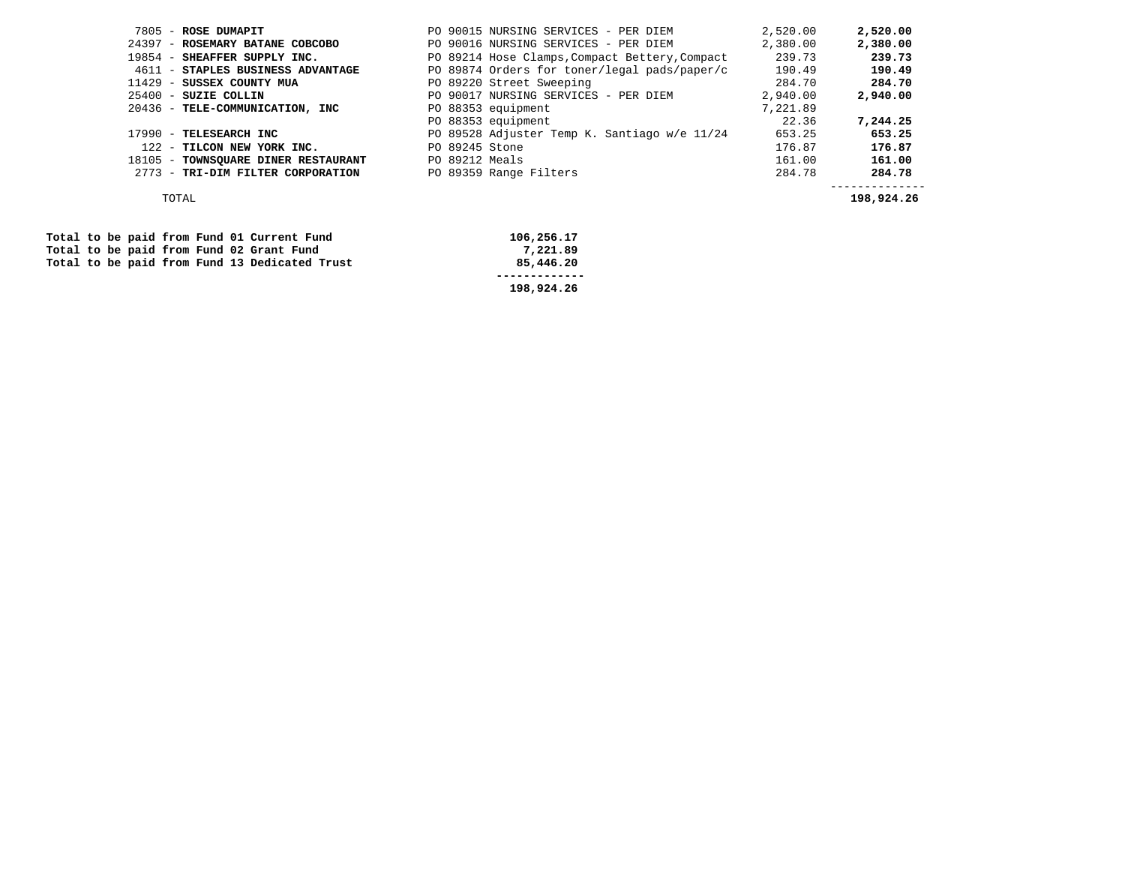| 7805 - ROSE DUMAPIT                 | PO 90015 NURSING SERVICES - PER DIEM           | 2,520.00 | 2,520.00 |
|-------------------------------------|------------------------------------------------|----------|----------|
| 24397 - ROSEMARY BATANE COBCOBO     | PO 90016 NURSING SERVICES - PER DIEM           | 2,380.00 | 2,380.00 |
| 19854 - SHEAFFER SUPPLY INC.        | PO 89214 Hose Clamps, Compact Bettery, Compact | 239.73   | 239.73   |
| 4611 - STAPLES BUSINESS ADVANTAGE   | PO 89874 Orders for toner/legal pads/paper/c   | 190.49   | 190.49   |
| 11429 - SUSSEX COUNTY MUA           | PO 89220 Street Sweeping                       | 284.70   | 284.70   |
| $25400$ - SUZIE COLLIN              | PO 90017 NURSING SERVICES - PER DIEM           | 2,940.00 | 2,940.00 |
| 20436 - TELE-COMMUNICATION, INC     | PO 88353 equipment                             | 7,221.89 |          |
|                                     | PO 88353 equipment                             | 22.36    | 7,244.25 |
| 17990 - TELESEARCH INC              | PO 89528 Adjuster Temp K. Santiago w/e 11/24   | 653.25   | 653.25   |
| 122 - TILCON NEW YORK INC.          | PO 89245 Stone                                 | 176.87   | 176.87   |
| 18105 - TOWNSQUARE DINER RESTAURANT | PO 89212 Meals                                 | 161.00   | 161.00   |
| 2773 - TRI-DIM FILTER CORPORATION   | PO 89359 Range Filters                         | 284.78   | 284.78   |
|                                     |                                                |          |          |

TOTAL **198,924.26** 

|  |  |  | Total to be paid from Fund 01 Current Fund    | 106,256.17 |
|--|--|--|-----------------------------------------------|------------|
|  |  |  | Total to be paid from Fund 02 Grant Fund      | 7,221.89   |
|  |  |  | Total to be paid from Fund 13 Dedicated Trust | 85,446,20  |
|  |  |  |                                               |            |
|  |  |  |                                               | 198,924.26 |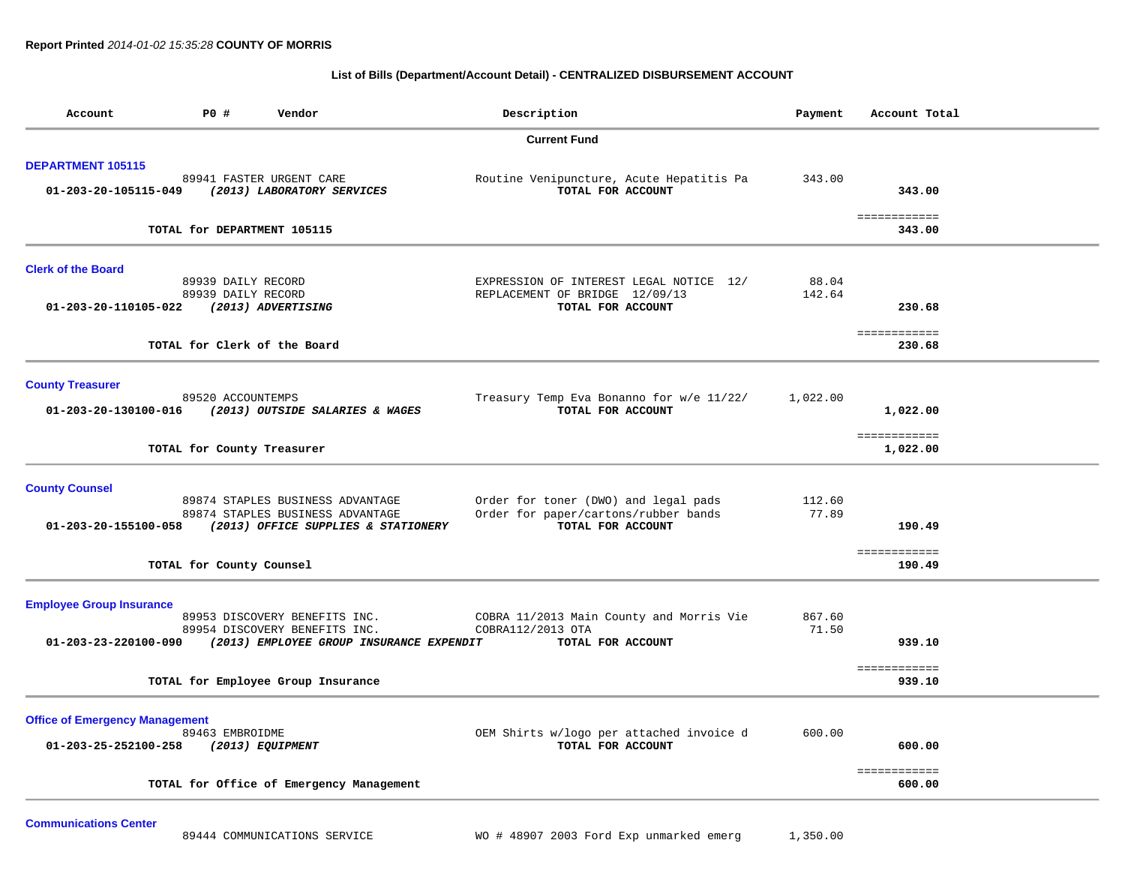## **List of Bills (Department/Account Detail) - CENTRALIZED DISBURSEMENT ACCOUNT**

| Account                                                       | P0 #                                     | Vendor                                                                                                      | Description                                                                                       | Payment         | Account Total                |  |
|---------------------------------------------------------------|------------------------------------------|-------------------------------------------------------------------------------------------------------------|---------------------------------------------------------------------------------------------------|-----------------|------------------------------|--|
|                                                               |                                          |                                                                                                             | <b>Current Fund</b>                                                                               |                 |                              |  |
| <b>DEPARTMENT 105115</b><br>01-203-20-105115-049              |                                          | 89941 FASTER URGENT CARE<br>(2013) LABORATORY SERVICES                                                      | Routine Venipuncture, Acute Hepatitis Pa<br>TOTAL FOR ACCOUNT                                     | 343.00          | 343.00                       |  |
|                                                               | TOTAL for DEPARTMENT 105115              |                                                                                                             |                                                                                                   |                 | ============<br>343.00       |  |
| <b>Clerk of the Board</b><br>01-203-20-110105-022             | 89939 DAILY RECORD<br>89939 DAILY RECORD | (2013) ADVERTISING                                                                                          | EXPRESSION OF INTEREST LEGAL NOTICE 12/<br>REPLACEMENT OF BRIDGE 12/09/13<br>TOTAL FOR ACCOUNT    | 88.04<br>142.64 | 230.68                       |  |
|                                                               | TOTAL for Clerk of the Board             |                                                                                                             |                                                                                                   |                 | ============<br>230.68       |  |
| <b>County Treasurer</b><br>01-203-20-130100-016               | 89520 ACCOUNTEMPS                        | (2013) OUTSIDE SALARIES & WAGES                                                                             | Treasury Temp Eva Bonanno for w/e 11/22/<br>TOTAL FOR ACCOUNT                                     | 1,022.00        | 1,022.00<br>============     |  |
|                                                               | TOTAL for County Treasurer               |                                                                                                             |                                                                                                   |                 | 1,022.00                     |  |
| <b>County Counsel</b><br>01-203-20-155100-058                 |                                          | 89874 STAPLES BUSINESS ADVANTAGE<br>89874 STAPLES BUSINESS ADVANTAGE<br>(2013) OFFICE SUPPLIES & STATIONERY | Order for toner (DWO) and legal pads<br>Order for paper/cartons/rubber bands<br>TOTAL FOR ACCOUNT | 112.60<br>77.89 | 190.49<br>============       |  |
|                                                               | TOTAL for County Counsel                 |                                                                                                             |                                                                                                   |                 | 190.49                       |  |
| <b>Employee Group Insurance</b><br>01-203-23-220100-090       |                                          | 89953 DISCOVERY BENEFITS INC.<br>89954 DISCOVERY BENEFITS INC.<br>(2013) EMPLOYEE GROUP INSURANCE EXPENDIT  | COBRA 11/2013 Main County and Morris Vie<br>COBRA112/2013 OTA<br>TOTAL FOR ACCOUNT                | 867.60<br>71.50 | 939.10                       |  |
|                                                               |                                          | TOTAL for Employee Group Insurance                                                                          |                                                                                                   |                 | ============<br>939.10       |  |
| <b>Office of Emergency Management</b><br>01-203-25-252100-258 | 89463 EMBROIDME                          | (2013) EQUIPMENT                                                                                            | OEM Shirts w/logo per attached invoice d<br>TOTAL FOR ACCOUNT                                     | 600.00          | 600.00                       |  |
|                                                               |                                          | TOTAL for Office of Emergency Management                                                                    |                                                                                                   |                 | <b>EEEEEEEEEEE</b><br>600.00 |  |

**Communications Center**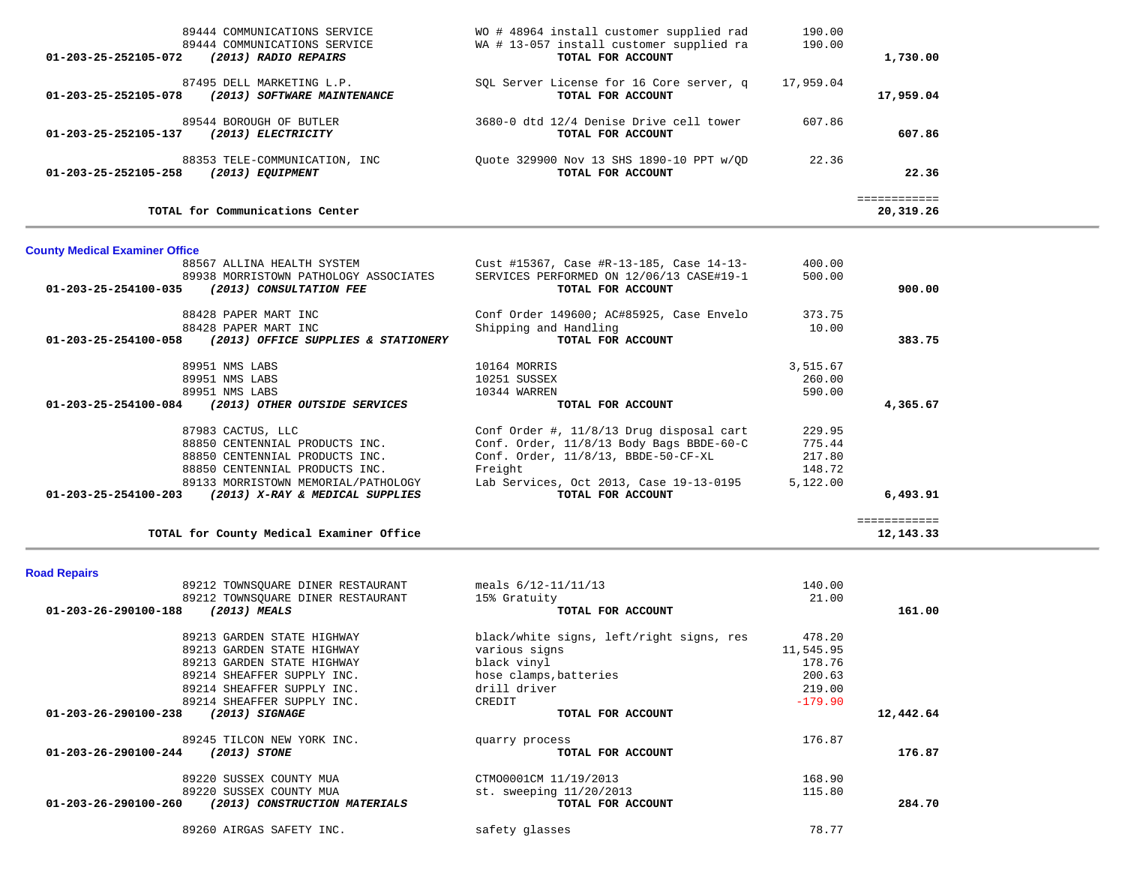|           | 190.00    | WO # 48964 install customer supplied rad                      | 89444 COMMUNICATIONS SERVICE                                                     |
|-----------|-----------|---------------------------------------------------------------|----------------------------------------------------------------------------------|
|           | 190.00    | WA # 13-057 install customer supplied ra                      | 89444 COMMUNICATIONS SERVICE                                                     |
| 1,730.00  |           | TOTAL FOR ACCOUNT                                             | 01-203-25-252105-072<br>(2013) RADIO REPAIRS                                     |
| 17,959.04 | 17,959.04 | SOL Server License for 16 Core server, q<br>TOTAL FOR ACCOUNT | 87495 DELL MARKETING L.P.<br>01-203-25-252105-078<br>(2013) SOFTWARE MAINTENANCE |
| 607.86    | 607.86    | 3680-0 dtd 12/4 Denise Drive cell tower<br>TOTAL FOR ACCOUNT  | 89544 BOROUGH OF BUTLER<br>01-203-25-252105-137<br>(2013) ELECTRICITY            |
| 22.36     | 22.36     | Ouote 329900 Nov 13 SHS 1890-10 PPT w/OD<br>TOTAL FOR ACCOUNT | 88353 TELE-COMMUNICATION, INC<br>01-203-25-252105-258<br>(2013) EOUIPMENT        |

# **County Medical Examiner Office**

|                                                    | 88567 ALLINA HEALTH SYSTEM            | Cust #15367, Case #R-13-185, Case 14-13- | 400.00   |          |
|----------------------------------------------------|---------------------------------------|------------------------------------------|----------|----------|
|                                                    | 89938 MORRISTOWN PATHOLOGY ASSOCIATES | SERVICES PERFORMED ON 12/06/13 CASE#19-1 | 500.00   |          |
| 01-203-25-254100-035                               | (2013) CONSULTATION FEE               | TOTAL FOR ACCOUNT                        |          | 900.00   |
|                                                    | 88428 PAPER MART INC                  | Conf Order 149600; AC#85925, Case Envelo | 373.75   |          |
|                                                    | 88428 PAPER MART INC                  | Shipping and Handling                    | 10.00    |          |
| 01-203-25-254100-058                               | (2013) OFFICE SUPPLIES & STATIONERY   | TOTAL FOR ACCOUNT                        |          | 383.75   |
|                                                    | 89951 NMS LABS                        | 10164 MORRIS                             | 3,515.67 |          |
|                                                    | 89951 NMS LABS                        | 10251 SUSSEX                             | 260.00   |          |
|                                                    | 89951 NMS LABS                        | 10344 WARREN                             | 590.00   |          |
| 01-203-25-254100-084 (2013) OTHER OUTSIDE SERVICES |                                       | TOTAL FOR ACCOUNT                        |          | 4,365.67 |
|                                                    | 87983 CACTUS, LLC                     | Conf Order #, 11/8/13 Drug disposal cart | 229.95   |          |
|                                                    | 88850 CENTENNIAL PRODUCTS INC.        | Conf. Order, 11/8/13 Body Bags BBDE-60-C | 775.44   |          |
|                                                    | 88850 CENTENNIAL PRODUCTS INC.        | $Conf.$ $Order, 11/8/13, BBDE-50-CF-XL$  | 217.80   |          |
|                                                    | 88850 CENTENNIAL PRODUCTS INC.        | Freight                                  | 148.72   |          |
|                                                    | 89133 MORRISTOWN MEMORIAL/PATHOLOGY   | Lab Services, Oct 2013, Case 19-13-0195  | 5,122.00 |          |
|                                                    | (2013) X-RAY & MEDICAL SUPPLIES       | TOTAL FOR ACCOUNT                        |          | 6,493.91 |

## **Road Repairs**

| Nuau Nepalis                                          |                                          |           |           |
|-------------------------------------------------------|------------------------------------------|-----------|-----------|
| 89212 TOWNSQUARE DINER RESTAURANT                     | meals $6/12-11/11/13$                    | 140.00    |           |
| 89212 TOWNSOUARE DINER RESTAURANT                     | 15% Gratuity                             | 21.00     |           |
| 01-203-26-290100-188<br>$(2013)$ MEALS                | TOTAL FOR ACCOUNT                        |           | 161.00    |
| 89213 GARDEN STATE HIGHWAY                            | black/white signs, left/right signs, res | 478.20    |           |
| 89213 GARDEN STATE HIGHWAY                            | various signs                            | 11,545.95 |           |
| 89213 GARDEN STATE HIGHWAY                            | black vinyl                              | 178.76    |           |
| 89214 SHEAFFER SUPPLY INC.                            | hose clamps, batteries                   | 200.63    |           |
| 89214 SHEAFFER SUPPLY INC.                            | drill driver                             | 219.00    |           |
| 89214 SHEAFFER SUPPLY INC.                            | CREDIT                                   | $-179.90$ |           |
| 01-203-26-290100-238<br>$(2013)$ SIGNAGE              | TOTAL FOR ACCOUNT                        |           | 12,442.64 |
| 89245 TILCON NEW YORK INC.                            | quarry process                           | 176.87    |           |
| (2013) STONE<br>01-203-26-290100-244                  | TOTAL FOR ACCOUNT                        |           | 176.87    |
| 89220 SUSSEX COUNTY MUA                               | CTM00001CM 11/19/2013                    | 168.90    |           |
| 89220 SUSSEX COUNTY MUA                               | st. sweeping 11/20/2013                  | 115.80    |           |
| 01-203-26-290100-260<br>(2013) CONSTRUCTION MATERIALS | TOTAL FOR ACCOUNT                        |           | 284.70    |
| 89260 AIRGAS SAFETY INC.                              | safety glasses                           | 78.77     |           |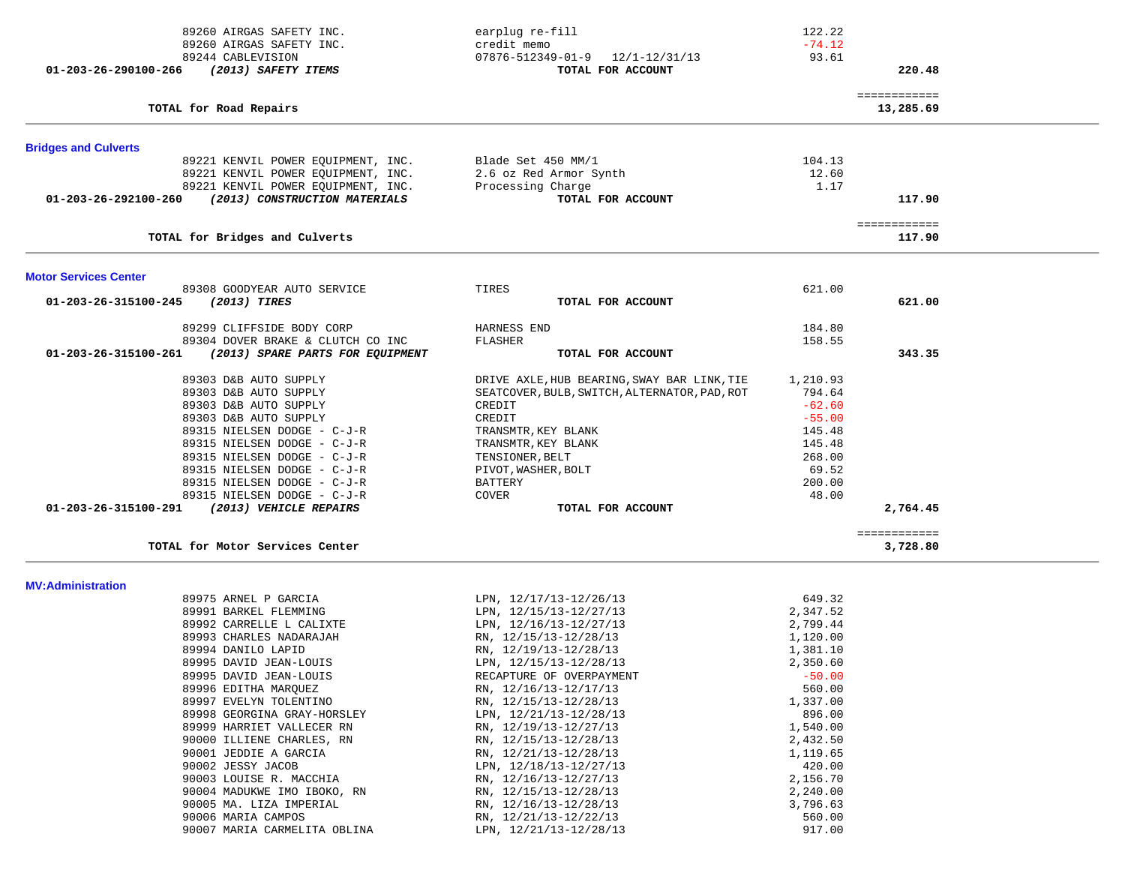| 89260 AIRGAS SAFETY INC.                                 | earplug re-fill                                | 122.22               |                          |  |
|----------------------------------------------------------|------------------------------------------------|----------------------|--------------------------|--|
| 89260 AIRGAS SAFETY INC.                                 | credit memo                                    | $-74.12$             |                          |  |
| 89244 CABLEVISION                                        | $07876 - 512349 - 01 - 9$ $12/1 - 12/31/13$    | 93.61                |                          |  |
| 01-203-26-290100-266<br>(2013) SAFETY ITEMS              | TOTAL FOR ACCOUNT                              |                      | 220.48                   |  |
|                                                          |                                                |                      | ============             |  |
| TOTAL for Road Repairs                                   |                                                |                      | 13,285.69                |  |
| <b>Bridges and Culverts</b>                              |                                                |                      |                          |  |
| 89221 KENVIL POWER EQUIPMENT, INC.                       | Blade Set 450 MM/1                             | 104.13               |                          |  |
| 89221 KENVIL POWER EQUIPMENT, INC.                       | 2.6 oz Red Armor Synth                         | 12.60                |                          |  |
| 89221 KENVIL POWER EOUIPMENT, INC.                       | Processing Charge                              | 1.17                 |                          |  |
| (2013) CONSTRUCTION MATERIALS<br>01-203-26-292100-260    | TOTAL FOR ACCOUNT                              |                      | 117.90                   |  |
|                                                          |                                                |                      | ============             |  |
| TOTAL for Bridges and Culverts                           |                                                |                      | 117.90                   |  |
| <b>Motor Services Center</b>                             |                                                |                      |                          |  |
| 89308 GOODYEAR AUTO SERVICE                              | TIRES                                          | 621.00               |                          |  |
| 01-203-26-315100-245<br>(2013) TIRES                     | TOTAL FOR ACCOUNT                              |                      | 621.00                   |  |
| 89299 CLIFFSIDE BODY CORP                                | HARNESS END                                    | 184.80               |                          |  |
| 89304 DOVER BRAKE & CLUTCH CO INC                        | FLASHER                                        | 158.55               |                          |  |
| 01-203-26-315100-261<br>(2013) SPARE PARTS FOR EQUIPMENT | TOTAL FOR ACCOUNT                              |                      | 343.35                   |  |
| 89303 D&B AUTO SUPPLY                                    | DRIVE AXLE, HUB BEARING, SWAY BAR LINK, TIE    | 1,210.93             |                          |  |
| 89303 D&B AUTO SUPPLY                                    | SEATCOVER, BULB, SWITCH, ALTERNATOR, PAD, ROT  | 794.64               |                          |  |
| 89303 D&B AUTO SUPPLY                                    | CREDIT                                         | $-62.60$             |                          |  |
| 89303 D&B AUTO SUPPLY                                    | CREDIT                                         | $-55.00$             |                          |  |
| 89315 NIELSEN DODGE - C-J-R                              | TRANSMTR, KEY BLANK                            | 145.48               |                          |  |
| 89315 NIELSEN DODGE - C-J-R                              | TRANSMTR, KEY BLANK                            | 145.48               |                          |  |
| 89315 NIELSEN DODGE - C-J-R                              | TENSIONER, BELT                                | 268.00               |                          |  |
| 89315 NIELSEN DODGE - C-J-R                              | PIVOT, WASHER, BOLT                            | 69.52                |                          |  |
| 89315 NIELSEN DODGE - C-J-R                              | BATTERY                                        | 200.00               |                          |  |
| 89315 NIELSEN DODGE - C-J-R                              | COVER                                          | 48.00                |                          |  |
| (2013) VEHICLE REPAIRS<br>01-203-26-315100-291           | TOTAL FOR ACCOUNT                              |                      | 2,764.45                 |  |
| TOTAL for Motor Services Center                          |                                                |                      | ============<br>3,728.80 |  |
|                                                          |                                                |                      |                          |  |
| <b>MV:Administration</b>                                 |                                                |                      |                          |  |
| 89975 ARNEL P GARCIA                                     | LPN, 12/17/13-12/26/13                         | 649.32               |                          |  |
| 89991 BARKEL FLEMMING                                    | LPN, 12/15/13-12/27/13                         | 2,347.52             |                          |  |
| 89992 CARRELLE L CALIXTE                                 | LPN, 12/16/13-12/27/13                         | 2,799.44             |                          |  |
| 89993 CHARLES NADARAJAH                                  | RN, 12/15/13-12/28/13<br>RN, 12/19/13-12/28/13 | 1,120.00             |                          |  |
| 89994 DANILO LAPID<br>89995 DAVID JEAN-LOUIS             | LPN, 12/15/13-12/28/13                         | 1,381.10<br>2,350.60 |                          |  |
| 89995 DAVID JEAN-LOUIS                                   | RECAPTURE OF OVERPAYMENT                       | $-50.00$             |                          |  |
| 89996 EDITHA MARQUEZ                                     | RN, 12/16/13-12/17/13                          | 560.00               |                          |  |
| 89997 EVELYN TOLENTINO                                   | RN, 12/15/13-12/28/13                          | 1,337.00             |                          |  |
| 89998 GEORGINA GRAY-HORSLEY                              | LPN, 12/21/13-12/28/13                         | 896.00               |                          |  |
| 89999 HARRIET VALLECER RN                                | RN, 12/19/13-12/27/13                          | 1,540.00             |                          |  |
| 90000 ILLIENE CHARLES, RN                                | RN, 12/15/13-12/28/13                          | 2,432.50             |                          |  |
| 90001 JEDDIE A GARCIA                                    | RN, 12/21/13-12/28/13                          | 1,119.65             |                          |  |
| 90002 JESSY JACOB                                        | LPN, 12/18/13-12/27/13                         | 420.00               |                          |  |
| 90003 LOUISE R. MACCHIA                                  | RN, 12/16/13-12/27/13                          | 2,156.70             |                          |  |
| 90004 MADUKWE IMO IBOKO, RN                              | RN, 12/15/13-12/28/13                          | 2,240.00             |                          |  |
| 90005 MA. LIZA IMPERIAL                                  | RN, 12/16/13-12/28/13                          | 3,796.63             |                          |  |
| 90006 MARIA CAMPOS                                       | RN, 12/21/13-12/22/13                          | 560.00               |                          |  |
| 90007 MARIA CARMELITA OBLINA                             | LPN, 12/21/13-12/28/13                         | 917.00               |                          |  |
|                                                          |                                                |                      |                          |  |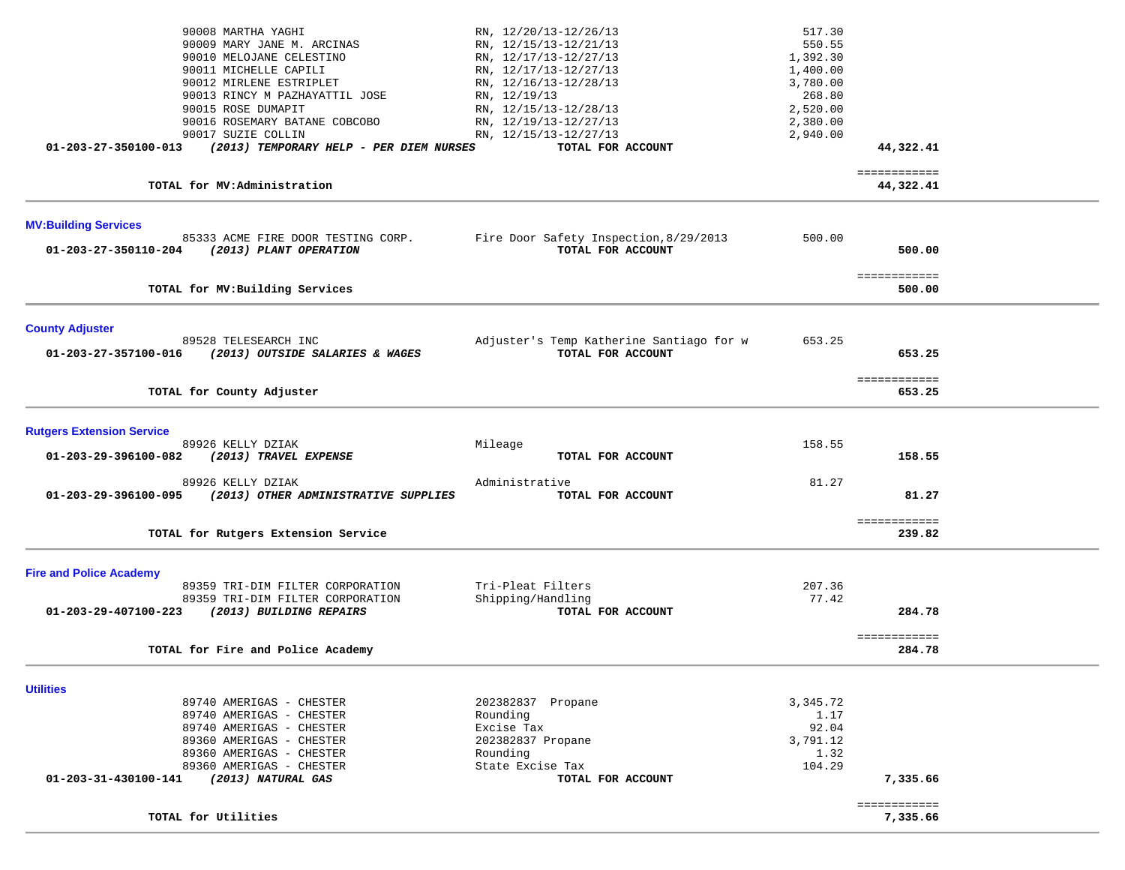|                                  | 90008 MARTHA YAGHI<br>90009 MARY JANE M. ARCINAS<br>90010 MELOJANE CELESTINO<br>90011 MICHELLE CAPILI<br>90012 MIRLENE ESTRIPLET<br>90013 RINCY M PAZHAYATTIL JOSE | RN, 12/20/13-12/26/13<br>RN, 12/15/13-12/21/13<br>RN, 12/17/13-12/27/13<br>RN, 12/17/13-12/27/13<br>RN, 12/16/13-12/28/13<br>RN, 12/19/13 | 517.30<br>550.55<br>1,392.30<br>1,400.00<br>3,780.00<br>268.80 |                           |  |
|----------------------------------|--------------------------------------------------------------------------------------------------------------------------------------------------------------------|-------------------------------------------------------------------------------------------------------------------------------------------|----------------------------------------------------------------|---------------------------|--|
|                                  | 90015 ROSE DUMAPIT<br>90016 ROSEMARY BATANE COBCOBO                                                                                                                | RN, 12/15/13-12/28/13<br>RN, 12/19/13-12/27/13                                                                                            | 2,520.00<br>2,380.00                                           |                           |  |
| 01-203-27-350100-013             | 90017 SUZIE COLLIN<br>(2013) TEMPORARY HELP - PER DIEM NURSES                                                                                                      | RN, 12/15/13-12/27/13<br>TOTAL FOR ACCOUNT                                                                                                | 2,940.00                                                       | 44,322.41                 |  |
|                                  |                                                                                                                                                                    |                                                                                                                                           |                                                                |                           |  |
|                                  | TOTAL for MV:Administration                                                                                                                                        |                                                                                                                                           |                                                                | ============<br>44,322.41 |  |
| <b>MV:Building Services</b>      |                                                                                                                                                                    |                                                                                                                                           |                                                                |                           |  |
| 01-203-27-350110-204             | 85333 ACME FIRE DOOR TESTING CORP.<br>(2013) PLANT OPERATION                                                                                                       | Fire Door Safety Inspection, 8/29/2013<br>TOTAL FOR ACCOUNT                                                                               | 500.00                                                         | 500.00                    |  |
|                                  | TOTAL for MV: Building Services                                                                                                                                    |                                                                                                                                           |                                                                | ============<br>500.00    |  |
| <b>County Adjuster</b>           |                                                                                                                                                                    |                                                                                                                                           |                                                                |                           |  |
| 01-203-27-357100-016             | 89528 TELESEARCH INC<br>(2013) OUTSIDE SALARIES & WAGES                                                                                                            | Adjuster's Temp Katherine Santiago for w<br>TOTAL FOR ACCOUNT                                                                             | 653.25                                                         | 653.25                    |  |
|                                  | TOTAL for County Adjuster                                                                                                                                          |                                                                                                                                           |                                                                | ============<br>653.25    |  |
| <b>Rutgers Extension Service</b> |                                                                                                                                                                    |                                                                                                                                           |                                                                |                           |  |
| 01-203-29-396100-082             | 89926 KELLY DZIAK<br>(2013) TRAVEL EXPENSE                                                                                                                         | Mileage<br>TOTAL FOR ACCOUNT                                                                                                              | 158.55                                                         | 158.55                    |  |
| 01-203-29-396100-095             | 89926 KELLY DZIAK<br>(2013) OTHER ADMINISTRATIVE SUPPLIES                                                                                                          | Administrative<br>TOTAL FOR ACCOUNT                                                                                                       | 81.27                                                          | 81.27                     |  |
|                                  | TOTAL for Rutgers Extension Service                                                                                                                                |                                                                                                                                           |                                                                | ============<br>239.82    |  |
| <b>Fire and Police Academy</b>   |                                                                                                                                                                    |                                                                                                                                           |                                                                |                           |  |
|                                  | 89359 TRI-DIM FILTER CORPORATION<br>89359 TRI-DIM FILTER CORPORATION                                                                                               | Tri-Pleat Filters<br>Shipping/Handling                                                                                                    | 207.36<br>77.42                                                |                           |  |
| 01-203-29-407100-223             | (2013) BUILDING REPAIRS                                                                                                                                            | TOTAL FOR ACCOUNT                                                                                                                         |                                                                | 284.78                    |  |
|                                  | TOTAL for Fire and Police Academy                                                                                                                                  |                                                                                                                                           |                                                                | ============<br>284.78    |  |
| <b>Utilities</b>                 |                                                                                                                                                                    |                                                                                                                                           |                                                                |                           |  |
|                                  | 89740 AMERIGAS - CHESTER                                                                                                                                           | 202382837 Propane                                                                                                                         | 3,345.72                                                       |                           |  |
|                                  | 89740 AMERIGAS - CHESTER                                                                                                                                           | Rounding                                                                                                                                  | 1.17                                                           |                           |  |
|                                  | 89740 AMERIGAS - CHESTER<br>89360 AMERIGAS - CHESTER                                                                                                               | Excise Tax<br>202382837 Propane                                                                                                           | 92.04<br>3,791.12                                              |                           |  |
|                                  | 89360 AMERIGAS - CHESTER                                                                                                                                           | Rounding                                                                                                                                  | 1.32                                                           |                           |  |
| 01-203-31-430100-141             | 89360 AMERIGAS - CHESTER<br>(2013) NATURAL GAS                                                                                                                     | State Excise Tax                                                                                                                          | 104.29                                                         |                           |  |
|                                  |                                                                                                                                                                    | TOTAL FOR ACCOUNT                                                                                                                         |                                                                | 7,335.66                  |  |
|                                  | TOTAL for Utilities                                                                                                                                                |                                                                                                                                           |                                                                | ============<br>7,335.66  |  |
|                                  |                                                                                                                                                                    |                                                                                                                                           |                                                                |                           |  |